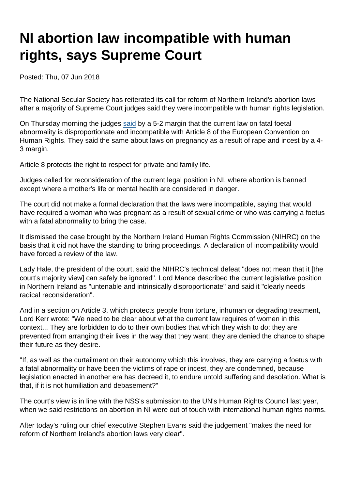## NI abortion law incompatible with human rights, says Supreme Court

Posted: Thu, 07 Jun 2018

The National Secular Society has reiterated its call for reform of Northern Ireland's abortion laws after a majority of Supreme Court judges said they were incompatible with human rights legislation.

On Thursday morning the judges [said](https://www.supremecourt.uk/cases/docs/uksc-2017-0131-judgment.pdf) by a 5-2 margin that the current law on fatal foetal abnormality is disproportionate and incompatible with Article 8 of the European Convention on Human Rights. They said the same about laws on pregnancy as a result of rape and incest by a 4- 3 margin.

Article 8 protects the right to respect for private and family life.

Judges called for reconsideration of the current legal position in NI, where abortion is banned except where a mother's life or mental health are considered in danger.

The court did not make a formal declaration that the laws were incompatible, saying that would have required a woman who was pregnant as a result of sexual crime or who was carrying a foetus with a fatal abnormality to bring the case.

It dismissed the case brought by the Northern Ireland Human Rights Commission (NIHRC) on the basis that it did not have the standing to bring proceedings. A declaration of incompatibility would have forced a review of the law.

Lady Hale, the president of the court, said the NIHRC's technical defeat "does not mean that it [the court's majority view] can safely be ignored". Lord Mance described the current legislative position in Northern Ireland as "untenable and intrinsically disproportionate" and said it "clearly needs radical reconsideration".

And in a section on Article 3, which protects people from torture, inhuman or degrading treatment, Lord Kerr wrote: "We need to be clear about what the current law requires of women in this context... They are forbidden to do to their own bodies that which they wish to do; they are prevented from arranging their lives in the way that they want; they are denied the chance to shape their future as they desire.

"If, as well as the curtailment on their autonomy which this involves, they are carrying a foetus with a fatal abnormality or have been the victims of rape or incest, they are condemned, because legislation enacted in another era has decreed it, to endure untold suffering and desolation. What is that, if it is not humiliation and debasement?"

The court's view is in line with the NSS's submission to the UN's Human Rights Council last year, when we said restrictions on abortion in NI were out of touch with international human rights norms.

After today's ruling our chief executive Stephen Evans said the judgement "makes the need for reform of Northern Ireland's abortion laws very clear".